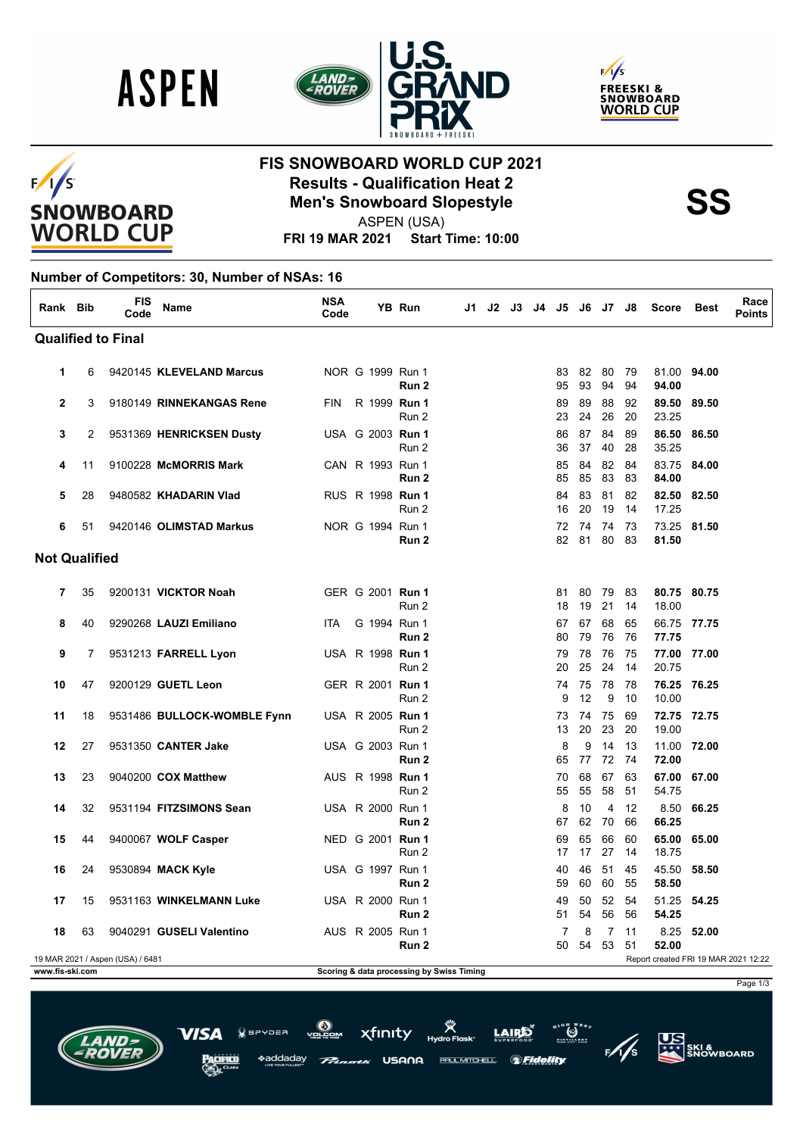





### $F/1/S$ **SNOWBOARD WORLD CUP**

## **FIS SNOWBOARD WORLD CUP 2021 Results - Qualification Heat 2<br>
Men's Snowboard Slopestyle<br>
ASPEN (USA)**

ASPEN (USA)

**FRI 19 MAR 2021 Start Time: 10:00**

#### **Number of Competitors: 30, Number of NSAs: 16**

| Rank Bib                  |    | <b>FIS</b><br>Code               | <b>Name</b>                 | <b>NSA</b><br>Code |  |  | YB Run                                    | J1. | J2 | J3 | J4 | J5       |          | J6 J7    | J8       | <b>Score</b>         | <b>Best</b> | Race<br><b>Points</b>                |
|---------------------------|----|----------------------------------|-----------------------------|--------------------|--|--|-------------------------------------------|-----|----|----|----|----------|----------|----------|----------|----------------------|-------------|--------------------------------------|
| <b>Qualified to Final</b> |    |                                  |                             |                    |  |  |                                           |     |    |    |    |          |          |          |          |                      |             |                                      |
| 1                         | 6  |                                  | 9420145 KLEVELAND Marcus    |                    |  |  | NOR G 1999 Run 1<br>Run <sub>2</sub>      |     |    |    |    | 83<br>95 | 82<br>93 | 80<br>94 | 79<br>94 | 81.00 94.00<br>94.00 |             |                                      |
| $\mathbf{2}$              | 3  |                                  | 9180149 RINNEKANGAS Rene    | <b>FIN</b>         |  |  | R 1999 Run 1<br>Run 2                     |     |    |    |    | 89<br>23 | 89<br>24 | 88<br>26 | 92<br>20 | 89.50<br>23.25       | 89.50       |                                      |
| 3                         | 2  |                                  | 9531369 HENRICKSEN Dusty    |                    |  |  | USA G 2003 Run 1<br>Run 2                 |     |    |    |    | 86<br>36 | 87<br>37 | 84<br>40 | 89<br>28 | 86.50<br>35.25       | 86.50       |                                      |
| 4                         | 11 |                                  | 9100228 McMORRIS Mark       |                    |  |  | CAN R 1993 Run 1<br>Run 2                 |     |    |    |    | 85<br>85 | 84<br>85 | 82<br>83 | 84<br>83 | 83.75<br>84.00       | 84.00       |                                      |
| 5                         | 28 |                                  | 9480582 KHADARIN Vlad       |                    |  |  | RUS R 1998 Run 1<br>Run 2                 |     |    |    |    | 84<br>16 | 83<br>20 | 81<br>19 | 82<br>14 | 82.50<br>17.25       | 82.50       |                                      |
| 6                         | 51 |                                  | 9420146 OLIMSTAD Markus     |                    |  |  | NOR G 1994 Run 1<br>Run 2                 |     |    |    |    | 72<br>82 | 74<br>81 | 74<br>80 | 73<br>83 | 73.25 81.50<br>81.50 |             |                                      |
| <b>Not Qualified</b>      |    |                                  |                             |                    |  |  |                                           |     |    |    |    |          |          |          |          |                      |             |                                      |
| 7                         | 35 |                                  | 9200131 VICKTOR Noah        |                    |  |  | GER G 2001 Run 1<br>Run 2                 |     |    |    |    | 81<br>18 | 80<br>19 | 79<br>21 | 83<br>14 | 80.75 80.75<br>18.00 |             |                                      |
| 8                         | 40 |                                  | 9290268 LAUZI Emiliano      | <b>ITA</b>         |  |  | G 1994 Run 1<br>Run 2                     |     |    |    |    | 67<br>80 | 67<br>79 | 68<br>76 | 65<br>76 | 66.75 77.75<br>77.75 |             |                                      |
| 9                         | 7  |                                  | 9531213 FARRELL Lyon        |                    |  |  | USA R 1998 <b>Run 1</b><br>Run 2          |     |    |    |    | 79<br>20 | 78<br>25 | 76<br>24 | 75<br>14 | 77.00 77.00<br>20.75 |             |                                      |
| 10                        | 47 |                                  | 9200129 GUETL Leon          |                    |  |  | GER R 2001 Run 1<br>Run 2                 |     |    |    |    | 74<br>9  | 75<br>12 | 78<br>9  | 78<br>10 | 76.25 76.25<br>10.00 |             |                                      |
| 11                        | 18 |                                  | 9531486 BULLOCK-WOMBLE Fynn |                    |  |  | USA R 2005 Run 1<br>Run 2                 |     |    |    |    | 73<br>13 | 74<br>20 | 75<br>23 | 69<br>20 | 72.75 72.75<br>19.00 |             |                                      |
| 12                        | 27 |                                  | 9531350 CANTER Jake         |                    |  |  | USA G 2003 Run 1<br>Run <sub>2</sub>      |     |    |    |    | 8<br>65  | 9<br>77  | 14<br>72 | 13<br>74 | 11.00<br>72.00       | 72.00       |                                      |
| 13                        | 23 |                                  | 9040200 COX Matthew         |                    |  |  | AUS R 1998 <b>Run 1</b><br>Run 2          |     |    |    |    | 70<br>55 | 68<br>55 | 67<br>58 | 63<br>51 | 67.00<br>54.75       | 67.00       |                                      |
| 14                        | 32 |                                  | 9531194 FITZSIMONS Sean     |                    |  |  | USA R 2000 Run 1<br>Run 2                 |     |    |    |    | 8<br>67  | 10<br>62 | 4<br>70  | 12<br>66 | 8.50<br>66.25        | 66.25       |                                      |
| 15                        | 44 |                                  | 9400067 WOLF Casper         |                    |  |  | NED G 2001 Run 1<br>Run 2                 |     |    |    |    | 69<br>17 | 65<br>17 | 66<br>27 | 60<br>14 | 65.00<br>18.75       | 65.00       |                                      |
| 16                        | 24 |                                  | 9530894 MACK Kyle           |                    |  |  | USA G 1997 Run 1<br>Run 2                 |     |    |    |    | 40<br>59 | 46<br>60 | 51<br>60 | 45<br>55 | 45.50<br>58.50       | 58.50       |                                      |
| 17                        | 15 |                                  | 9531163 WINKELMANN Luke     |                    |  |  | USA R 2000 Run 1<br>Run 2                 |     |    |    |    | 49<br>51 | 50<br>54 | 52<br>56 | 54<br>56 | 51.25<br>54.25       | 54.25       |                                      |
| 18                        | 63 |                                  | 9040291 GUSELI Valentino    |                    |  |  | AUS R 2005 Run 1<br>Run 2                 |     |    |    |    | 7<br>50  | 8<br>54  | 7<br>53  | 11<br>51 | 8.25<br>52.00        | 52.00       |                                      |
| www.fis-ski.com           |    | 19 MAR 2021 / Aspen (USA) / 6481 |                             |                    |  |  | Scoring & data processing by Swiss Timing |     |    |    |    |          |          |          |          |                      |             | Report created FRI 19 MAR 2021 12:22 |

Page 1/3



USANA

ddadav



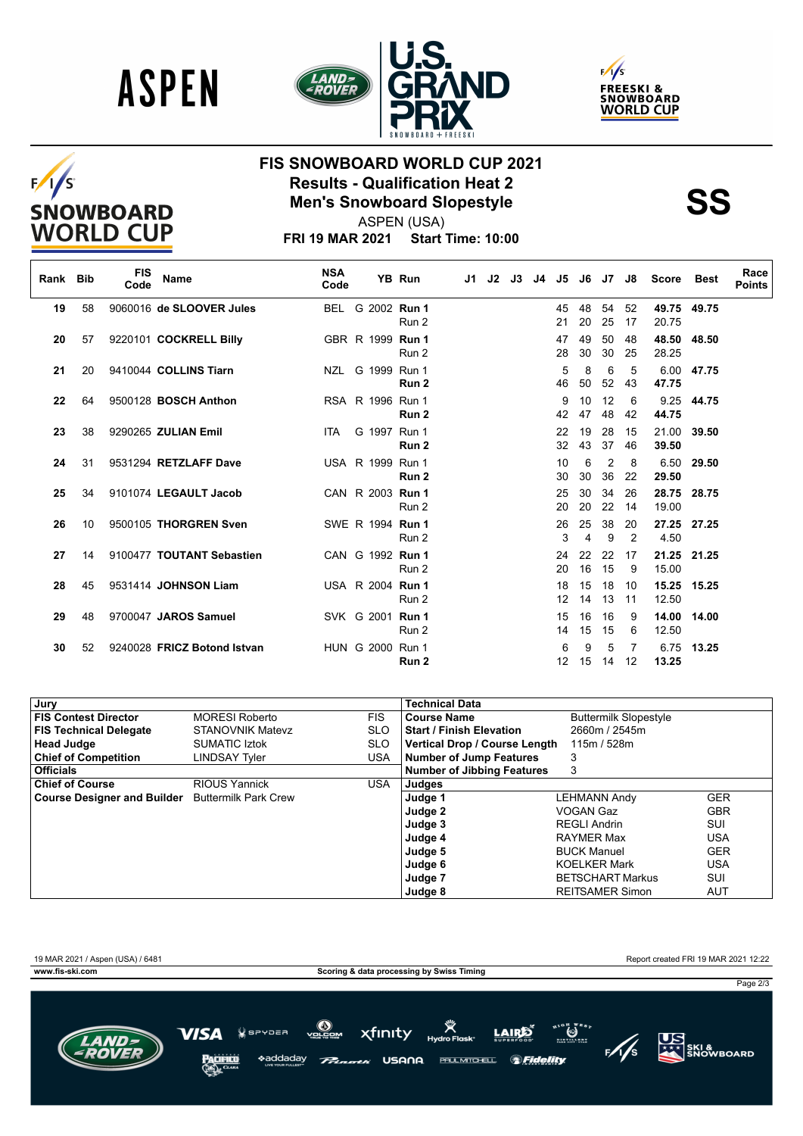





# $F/I/S$ SNOWBOARD<br>WORLD CUP

## **FIS SNOWBOARD WORLD CUP 2021 Results - Qualification Heat 2<br>
Men's Snowboard Slopestyle<br>
ASPEN (USA)**



ASPEN (USA)

**FRI 19 MAR 2021 Start Time: 10:00**

| Rank Bib |                 | <b>FIS</b><br>Code | <b>Name</b>                 | <b>NSA</b><br>Code |                         | YB Run | J1 | J2 | J3 | J4 | J5       | J6       | J7                   | J8       | Score          | Best  | Race<br><b>Points</b> |
|----------|-----------------|--------------------|-----------------------------|--------------------|-------------------------|--------|----|----|----|----|----------|----------|----------------------|----------|----------------|-------|-----------------------|
| 19       | 58              |                    | 9060016 de SLOOVER Jules    | BEL                | G 2002 Run 1            | Run 2  |    |    |    |    | 45<br>21 | 48<br>20 | 54<br>25             | 52<br>17 | 49.75<br>20.75 | 49.75 |                       |
| 20       | 57              |                    | 9220101 COCKRELL Billy      |                    | GBR R 1999 <b>Run 1</b> | Run 2  |    |    |    |    | 47<br>28 | 49<br>30 | 50<br>30             | 48<br>25 | 48.50<br>28.25 | 48.50 |                       |
| 21       | 20              |                    | 9410044 COLLINS Tiarn       |                    | NZL G 1999 Run 1        | Run 2  |    |    |    |    | 5<br>46  | 8<br>50  | 6<br>52              | 5<br>43  | 6.00<br>47.75  | 47.75 |                       |
| 22       | 64              |                    | 9500128 <b>BOSCH Anthon</b> |                    | RSA R 1996 Run 1        | Run 2  |    |    |    |    | 9<br>42  | 10<br>47 | 12<br>48             | 6<br>42  | 9.25<br>44.75  | 44.75 |                       |
| 23       | 38              |                    | 9290265 ZULIAN Emil         | ITA                | G 1997 Run 1            | Run 2  |    |    |    |    | 22<br>32 | 19<br>43 | 28<br>37             | 15<br>46 | 21.00<br>39.50 | 39.50 |                       |
| 24       | 31              |                    | 9531294 RETZLAFF Dave       |                    | USA R 1999 Run 1        | Run 2  |    |    |    |    | 10<br>30 | 6<br>30  | $\overline{2}$<br>36 | 8<br>22  | 6.50<br>29.50  | 29.50 |                       |
| 25       | 34              |                    | 9101074 LEGAULT Jacob       |                    | CAN R 2003 Run 1        | Run 2  |    |    |    |    | 25<br>20 | 30<br>20 | 34<br>22             | 26<br>14 | 28.75<br>19.00 | 28.75 |                       |
| 26       | 10 <sup>1</sup> |                    | 9500105 THORGREN Sven       |                    | SWE R 1994 Run 1        | Run 2  |    |    |    |    | 26<br>3  | 25<br>4  | 38<br>9              | 20<br>2  | 27.25<br>4.50  | 27.25 |                       |
| 27       | 14              |                    | 9100477 TOUTANT Sebastien   |                    | CAN G 1992 Run 1        | Run 2  |    |    |    |    | 24<br>20 | 22<br>16 | 22<br>15             | 17<br>9  | 21.25<br>15.00 | 21.25 |                       |
| 28       | 45              |                    | 9531414 JOHNSON Liam        |                    | USA R 2004 <b>Run 1</b> | Run 2  |    |    |    |    | 18<br>12 | 15<br>14 | 18<br>13             | 10<br>11 | 15.25<br>12.50 | 15.25 |                       |
| 29       | 48              |                    | 9700047 JAROS Samuel        |                    | SVK G 2001 <b>Run 1</b> | Run 2  |    |    |    |    | 15<br>14 | 16<br>15 | 16<br>15             | 9<br>6   | 14.00<br>12.50 | 14.00 |                       |
| 30       | 52              |                    | 9240028 FRICZ Botond Istvan |                    | HUN G 2000 Run 1        | Run 2  |    |    |    |    | 6<br>12  | 9<br>15  | 5<br>14              | 7<br>12  | 6.75<br>13.25  | 13.25 |                       |

| , Jury                                           |                         |            | <b>Technical Data</b>                |                              |            |
|--------------------------------------------------|-------------------------|------------|--------------------------------------|------------------------------|------------|
| <b>FIS Contest Director</b>                      | <b>MORESI Roberto</b>   | <b>FIS</b> | <b>Course Name</b>                   | <b>Buttermilk Slopestyle</b> |            |
| <b>FIS Technical Delegate</b>                    | <b>STANOVNIK Matevz</b> | <b>SLO</b> | <b>Start / Finish Elevation</b>      | 2660m / 2545m                |            |
| <b>Head Judge</b>                                | <b>SUMATIC Iztok</b>    | <b>SLO</b> | <b>Vertical Drop / Course Length</b> | 115m / 528m                  |            |
| <b>Chief of Competition</b>                      | <b>LINDSAY Tvler</b>    | USA.       | <b>Number of Jump Features</b>       | 3                            |            |
| <b>Officials</b>                                 |                         |            | <b>Number of Jibbing Features</b>    | 3                            |            |
| <b>Chief of Course</b>                           | <b>RIOUS Yannick</b>    | <b>USA</b> | Judges                               |                              |            |
| Course Designer and Builder Buttermilk Park Crew |                         |            | Judge 1                              | <b>LEHMANN Andy</b>          | <b>GER</b> |
|                                                  |                         |            | Judge 2                              | VOGAN Gaz                    | <b>GBR</b> |
|                                                  |                         |            | Judge 3                              | <b>REGLI Andrin</b>          | SUI        |
|                                                  |                         |            | Judge 4                              | RAYMER Max                   | <b>USA</b> |
|                                                  |                         |            | Judge 5                              | <b>BUCK Manuel</b>           | <b>GER</b> |
|                                                  |                         |            | Judge 6                              | <b>KOELKER Mark</b>          | <b>USA</b> |
|                                                  |                         |            | Judge 7                              | <b>BETSCHART Markus</b>      | SUI        |
|                                                  |                         |            | Judge 8                              | <b>REITSAMER Simon</b>       | <b>AUT</b> |